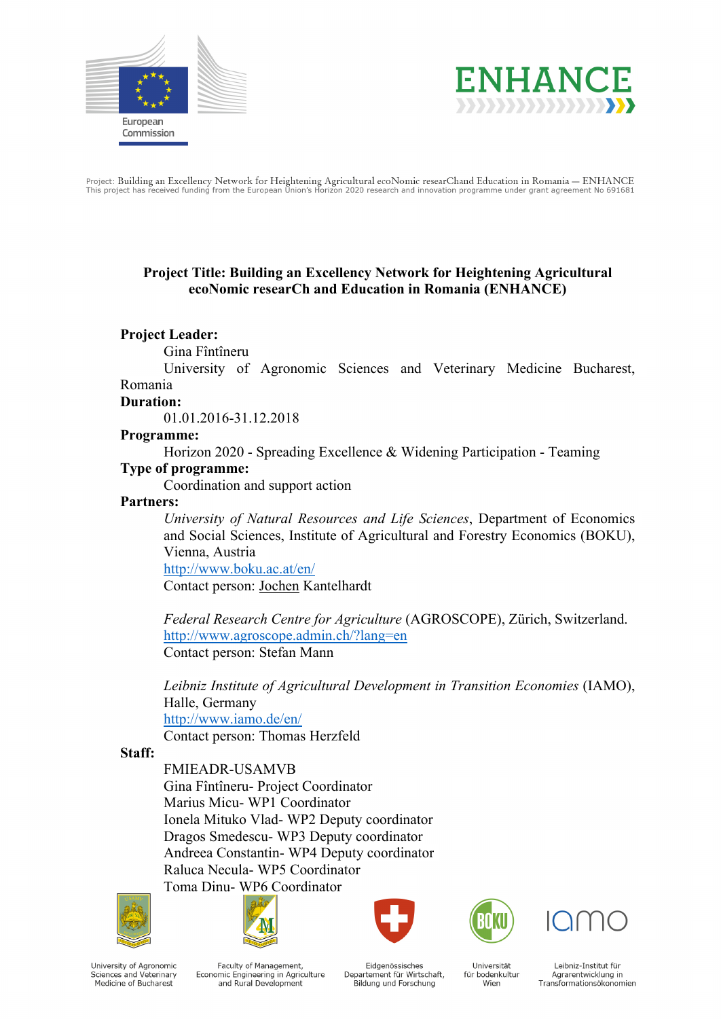



Project: Building an Excellency Network for Heightening Agricultural ecoNomic researChand Education in Romania - ENHANCE This project has received funding from the European Union's Horizon 2020 research and innovation programme under grant agreement No 691681

# **Project Title: Building an Excellency Network for Heightening Agricultural ecoNomic researCh and Education in Romania (ENHANCE)**

## **Project Leader:**

Gina Fîntîneru

University of Agronomic Sciences and Veterinary Medicine Bucharest, Romania

#### **Duration:**

01.01.201631.12.2018

#### **Programme:**

Horizon 2020 - Spreading Excellence & Widening Participation - Teaming

# **Type of programme:**

Coordination and support action

#### **Partners:**

*University of Natural Resources and Life Sciences*, Department of Economics and Social Sciences, Institute of Agricultural and Forestry Economics (BOKU), Vienna, Austria

http://www.boku.ac.at/en/ Contact person: Jochen Kantelhardt

*Federal Research Centre for Agriculture* (AGROSCOPE), Zürich, Switzerland. http://www.agroscope.admin.ch/?lang=en Contact person: Stefan Mann

*Leibniz Institute of Agricultural Development in Transition Economies* (IAMO), Halle, Germany http://www.iamo.de/en/

Contact person: Thomas Herzfeld

## **Staff:**

FMIEADR-USAMVB Gina Fîntîneru- Project Coordinator Marius Micu- WP1 Coordinator Ionela Mituko Vlad-WP2 Deputy coordinator Dragos Smedescu- WP3 Deputy coordinator Andreea Constantin WP4 Deputy coordinator Raluca Necula-WP5 Coordinator Toma Dinu- WP6 Coordinator











University of Agronomic Sciences and Veterinary Medicine of Bucharest

Faculty of Management, Economic Engineering in Agriculture<br>and Rural Development

Eidgenössisches Departement für Wirtschaft, Bildung und Forschung

Universität für bodenkultur Wien

Leibniz-Institut für Agrarentwicklung in Transformationsökonomien